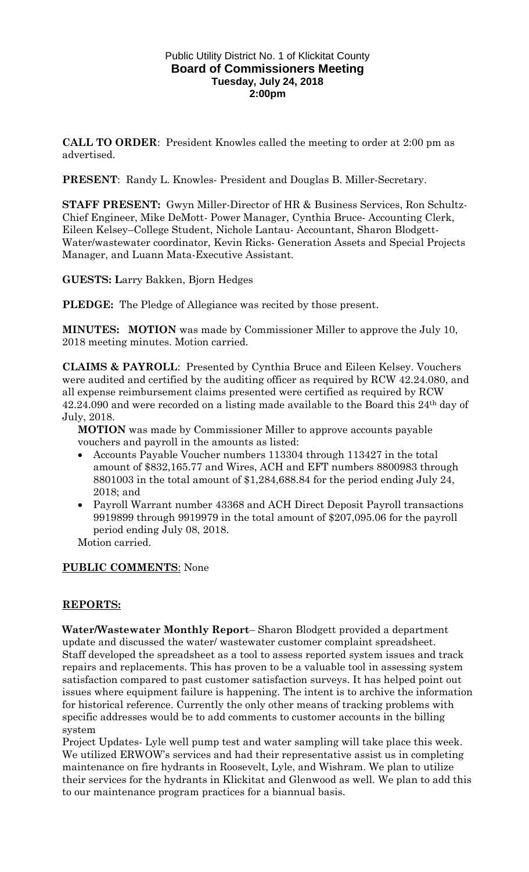### Public Utility District No. 1 of Klickitat County **Board of Commissioners Meeting Tuesday, July 24, 2018 2:00pm**

**CALL TO ORDER**: President Knowles called the meeting to order at 2:00 pm as advertised.

**PRESENT**: Randy L. Knowles- President and Douglas B. Miller-Secretary.

**STAFF PRESENT:** Gwyn Miller-Director of HR & Business Services, Ron Schultz-Chief Engineer, Mike DeMott- Power Manager, Cynthia Bruce- Accounting Clerk, Eileen Kelsey–College Student, Nichole Lantau- Accountant, Sharon Blodgett-Water/wastewater coordinator, Kevin Ricks- Generation Assets and Special Projects Manager, and Luann Mata-Executive Assistant.

**GUESTS: L**arry Bakken, Bjorn Hedges

**PLEDGE:** The Pledge of Allegiance was recited by those present.

**MINUTES: MOTION** was made by Commissioner Miller to approve the July 10, 2018 meeting minutes. Motion carried.

**CLAIMS & PAYROLL**: Presented by Cynthia Bruce and Eileen Kelsey. Vouchers were audited and certified by the auditing officer as required by RCW 42.24.080, and all expense reimbursement claims presented were certified as required by RCW 42.24.090 and were recorded on a listing made available to the Board this 24th day of July, 2018.

**MOTION** was made by Commissioner Miller to approve accounts payable vouchers and payroll in the amounts as listed:

- Accounts Payable Voucher numbers 113304 through 113427 in the total amount of \$832,165.77 and Wires, ACH and EFT numbers 8800983 through 8801003 in the total amount of \$1,284,688.84 for the period ending July 24, 2018; and
- Payroll Warrant number 43368 and ACH Direct Deposit Payroll transactions 9919899 through 9919979 in the total amount of \$207,095.06 for the payroll period ending July 08, 2018.

Motion carried.

# **PUBLIC COMMENTS**: None

# **REPORTS:**

**Water/Wastewater Monthly Report**– Sharon Blodgett provided a department update and discussed the water/ wastewater customer complaint spreadsheet. Staff developed the spreadsheet as a tool to assess reported system issues and track repairs and replacements. This has proven to be a valuable tool in assessing system satisfaction compared to past customer satisfaction surveys. It has helped point out issues where equipment failure is happening. The intent is to archive the information for historical reference. Currently the only other means of tracking problems with specific addresses would be to add comments to customer accounts in the billing system

Project Updates- Lyle well pump test and water sampling will take place this week. We utilized ERWOW's services and had their representative assist us in completing maintenance on fire hydrants in Roosevelt, Lyle, and Wishram. We plan to utilize their services for the hydrants in Klickitat and Glenwood as well. We plan to add this to our maintenance program practices for a biannual basis.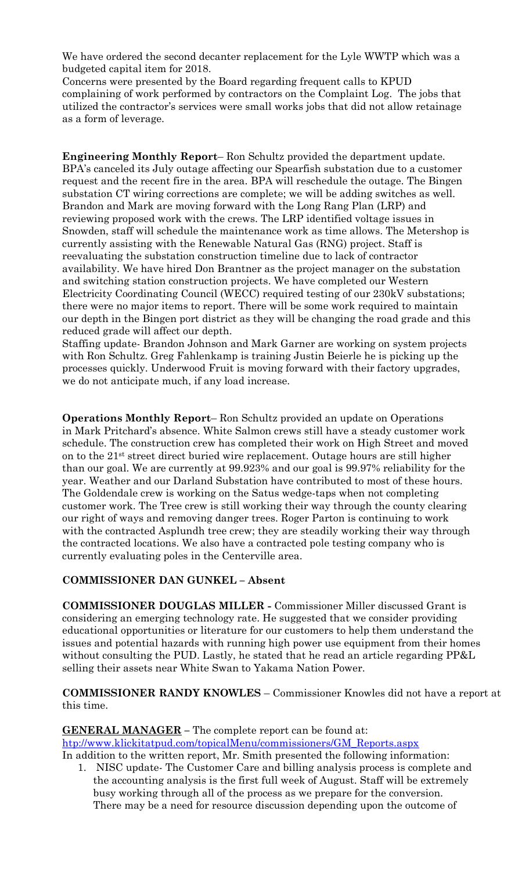We have ordered the second decanter replacement for the Lyle WWTP which was a budgeted capital item for 2018.

Concerns were presented by the Board regarding frequent calls to KPUD complaining of work performed by contractors on the Complaint Log. The jobs that utilized the contractor's services were small works jobs that did not allow retainage as a form of leverage.

**Engineering Monthly Report**– Ron Schultz provided the department update. BPA's canceled its July outage affecting our Spearfish substation due to a customer request and the recent fire in the area. BPA will reschedule the outage. The Bingen substation CT wiring corrections are complete; we will be adding switches as well. Brandon and Mark are moving forward with the Long Rang Plan (LRP) and reviewing proposed work with the crews. The LRP identified voltage issues in Snowden, staff will schedule the maintenance work as time allows. The Metershop is currently assisting with the Renewable Natural Gas (RNG) project. Staff is reevaluating the substation construction timeline due to lack of contractor availability. We have hired Don Brantner as the project manager on the substation and switching station construction projects. We have completed our Western Electricity Coordinating Council (WECC) required testing of our 230kV substations; there were no major items to report. There will be some work required to maintain our depth in the Bingen port district as they will be changing the road grade and this reduced grade will affect our depth.

Staffing update- Brandon Johnson and Mark Garner are working on system projects with Ron Schultz. Greg Fahlenkamp is training Justin Beierle he is picking up the processes quickly. Underwood Fruit is moving forward with their factory upgrades, we do not anticipate much, if any load increase.

**Operations Monthly Report**– Ron Schultz provided an update on Operations in Mark Pritchard's absence. White Salmon crews still have a steady customer work schedule. The construction crew has completed their work on High Street and moved on to the 21st street direct buried wire replacement. Outage hours are still higher than our goal. We are currently at 99.923% and our goal is 99.97% reliability for the year. Weather and our Darland Substation have contributed to most of these hours. The Goldendale crew is working on the Satus wedge-taps when not completing customer work. The Tree crew is still working their way through the county clearing our right of ways and removing danger trees. Roger Parton is continuing to work with the contracted Asplundh tree crew; they are steadily working their way through the contracted locations. We also have a contracted pole testing company who is currently evaluating poles in the Centerville area.

# **COMMISSIONER DAN GUNKEL – Absent**

**COMMISSIONER DOUGLAS MILLER -** Commissioner Miller discussed Grant is considering an emerging technology rate. He suggested that we consider providing educational opportunities or literature for our customers to help them understand the issues and potential hazards with running high power use equipment from their homes without consulting the PUD. Lastly, he stated that he read an article regarding PP&L selling their assets near White Swan to Yakama Nation Power.

### **COMMISSIONER RANDY KNOWLES** – Commissioner Knowles did not have a report at this time.

**GENERAL MANAGER –** The complete report can be found at: [htp://www.klickitatpud.com/topicalMenu/commissioners/GM\\_Reports.aspx](http://www.klickitatpud.com/topicalMenu/commissioners/GM_Reports.aspx) In addition to the written report, Mr. Smith presented the following information:

1. NISC update- The Customer Care and billing analysis process is complete and the accounting analysis is the first full week of August. Staff will be extremely busy working through all of the process as we prepare for the conversion. There may be a need for resource discussion depending upon the outcome of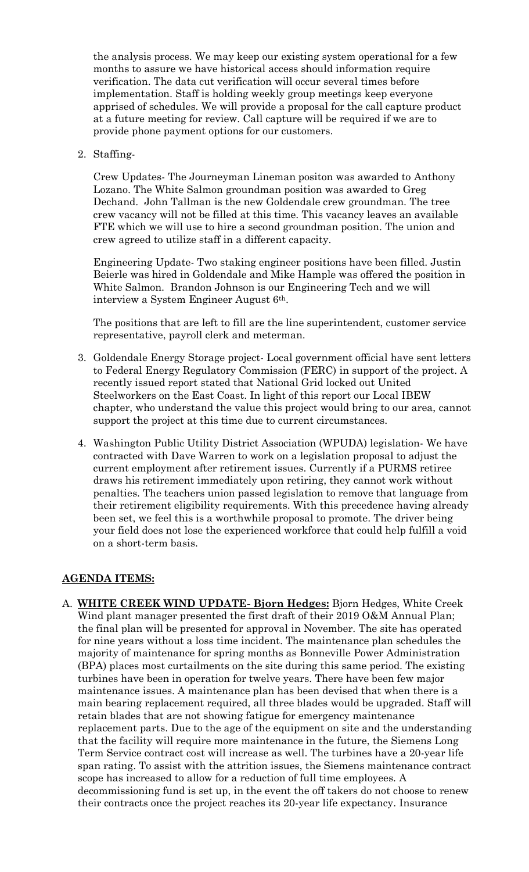the analysis process. We may keep our existing system operational for a few months to assure we have historical access should information require verification. The data cut verification will occur several times before implementation. Staff is holding weekly group meetings keep everyone apprised of schedules. We will provide a proposal for the call capture product at a future meeting for review. Call capture will be required if we are to provide phone payment options for our customers.

2. Staffing-

Crew Updates- The Journeyman Lineman positon was awarded to Anthony Lozano. The White Salmon groundman position was awarded to Greg Dechand. John Tallman is the new Goldendale crew groundman. The tree crew vacancy will not be filled at this time. This vacancy leaves an available FTE which we will use to hire a second groundman position. The union and crew agreed to utilize staff in a different capacity.

Engineering Update- Two staking engineer positions have been filled. Justin Beierle was hired in Goldendale and Mike Hample was offered the position in White Salmon. Brandon Johnson is our Engineering Tech and we will interview a System Engineer August 6th.

The positions that are left to fill are the line superintendent, customer service representative, payroll clerk and meterman.

- 3. Goldendale Energy Storage project- Local government official have sent letters to Federal Energy Regulatory Commission (FERC) in support of the project. A recently issued report stated that National Grid locked out United Steelworkers on the East Coast. In light of this report our Local IBEW chapter, who understand the value this project would bring to our area, cannot support the project at this time due to current circumstances.
- 4. Washington Public Utility District Association (WPUDA) legislation- We have contracted with Dave Warren to work on a legislation proposal to adjust the current employment after retirement issues. Currently if a PURMS retiree draws his retirement immediately upon retiring, they cannot work without penalties. The teachers union passed legislation to remove that language from their retirement eligibility requirements. With this precedence having already been set, we feel this is a worthwhile proposal to promote. The driver being your field does not lose the experienced workforce that could help fulfill a void on a short-term basis.

# **AGENDA ITEMS:**

A. **WHITE CREEK WIND UPDATE- Bjorn Hedges:** Bjorn Hedges, White Creek Wind plant manager presented the first draft of their 2019 O&M Annual Plan; the final plan will be presented for approval in November. The site has operated for nine years without a loss time incident. The maintenance plan schedules the majority of maintenance for spring months as Bonneville Power Administration (BPA) places most curtailments on the site during this same period. The existing turbines have been in operation for twelve years. There have been few major maintenance issues. A maintenance plan has been devised that when there is a main bearing replacement required, all three blades would be upgraded. Staff will retain blades that are not showing fatigue for emergency maintenance replacement parts. Due to the age of the equipment on site and the understanding that the facility will require more maintenance in the future, the Siemens Long Term Service contract cost will increase as well. The turbines have a 20-year life span rating. To assist with the attrition issues, the Siemens maintenance contract scope has increased to allow for a reduction of full time employees. A decommissioning fund is set up, in the event the off takers do not choose to renew their contracts once the project reaches its 20-year life expectancy. Insurance